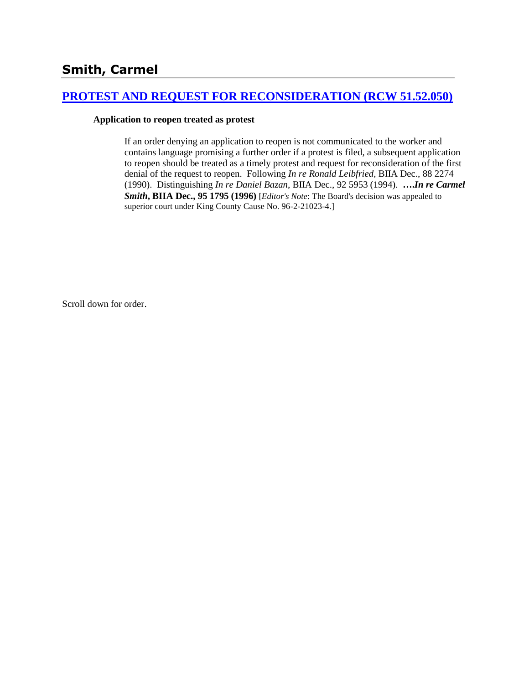# **Smith, Carmel**

### **[PROTEST AND REQUEST FOR RECONSIDERATION \(RCW 51.52.050\)](http://www.biia.wa.gov/SDSubjectIndex.html#PROTEST_AND_REQUEST_FOR_RECONSIDERATION)**

### **Application to reopen treated as protest**

If an order denying an application to reopen is not communicated to the worker and contains language promising a further order if a protest is filed, a subsequent application to reopen should be treated as a timely protest and request for reconsideration of the first denial of the request to reopen. Following *In re Ronald Leibfried*, BIIA Dec., 88 2274 (1990). Distinguishing *In re Daniel Bazan*, BIIA Dec., 92 5953 (1994). **….***In re Carmel Smith***, BIIA Dec., 95 1795 (1996)** [*Editor's Note*: The Board's decision was appealed to superior court under King County Cause No. 96-2-21023-4.]

Scroll down for order.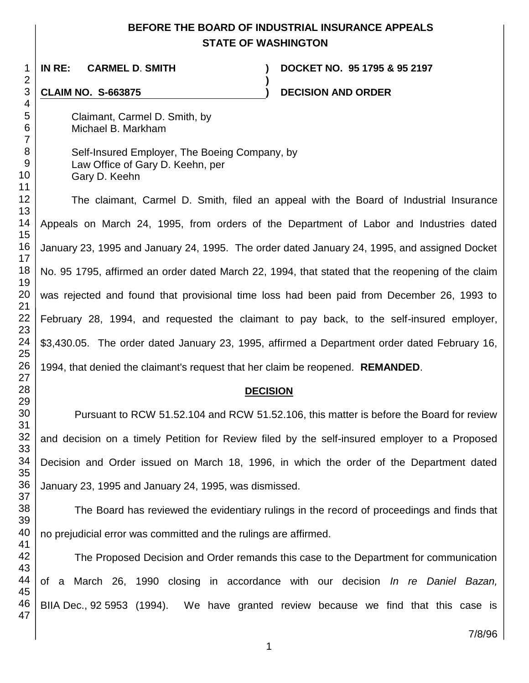## **BEFORE THE BOARD OF INDUSTRIAL INSURANCE APPEALS STATE OF WASHINGTON**

**)**

**IN RE: CARMEL D**. **SMITH ) DOCKET NO. 95 1795 & 95 2197**

**CLAIM NO. S-663875 ) DECISION AND ORDER** 

Claimant, Carmel D. Smith, by Michael B. Markham

Self-Insured Employer, The Boeing Company, by Law Office of Gary D. Keehn, per Gary D. Keehn

The claimant, Carmel D. Smith, filed an appeal with the Board of Industrial Insurance Appeals on March 24, 1995, from orders of the Department of Labor and Industries dated January 23, 1995 and January 24, 1995. The order dated January 24, 1995, and assigned Docket No. 95 1795, affirmed an order dated March 22, 1994, that stated that the reopening of the claim was rejected and found that provisional time loss had been paid from December 26, 1993 to February 28, 1994, and requested the claimant to pay back, to the self-insured employer, \$3,430.05. The order dated January 23, 1995, affirmed a Department order dated February 16, 1994, that denied the claimant's request that her claim be reopened. **REMANDED**.

### **DECISION**

Pursuant to RCW 51.52.104 and RCW 51.52.106, this matter is before the Board for review and decision on a timely Petition for Review filed by the self-insured employer to a Proposed Decision and Order issued on March 18, 1996, in which the order of the Department dated January 23, 1995 and January 24, 1995, was dismissed.

The Board has reviewed the evidentiary rulings in the record of proceedings and finds that no prejudicial error was committed and the rulings are affirmed.

The Proposed Decision and Order remands this case to the Department for communication of a March 26, 1990 closing in accordance with our decision *In re Daniel Bazan,* BIIA Dec., 92 5953 (1994). We have granted review because we find that this case is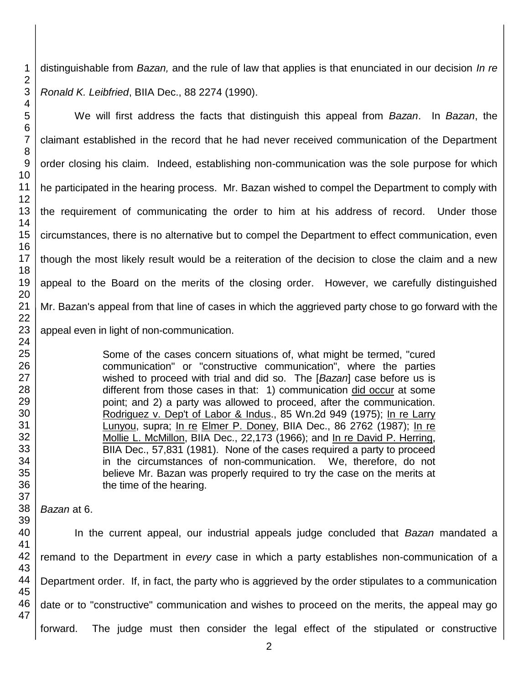distinguishable from *Bazan,* and the rule of law that applies is that enunciated in our decision *In re Ronald K. Leibfried*, BIIA Dec., 88 2274 (1990).

We will first address the facts that distinguish this appeal from *Bazan*. In *Bazan*, the claimant established in the record that he had never received communication of the Department order closing his claim. Indeed, establishing non-communication was the sole purpose for which he participated in the hearing process. Mr. Bazan wished to compel the Department to comply with the requirement of communicating the order to him at his address of record. Under those circumstances, there is no alternative but to compel the Department to effect communication, even though the most likely result would be a reiteration of the decision to close the claim and a new appeal to the Board on the merits of the closing order. However, we carefully distinguished Mr. Bazan's appeal from that line of cases in which the aggrieved party chose to go forward with the appeal even in light of non-communication.

> Some of the cases concern situations of, what might be termed, "cured communication" or "constructive communication", where the parties wished to proceed with trial and did so. The [*Bazan*] case before us is different from those cases in that: 1) communication did occur at some point; and 2) a party was allowed to proceed, after the communication. Rodriguez v. Dep't of Labor & Indus., 85 Wn.2d 949 (1975); In re Larry Lunyou, supra; In re Elmer P. Doney, BIIA Dec., 86 2762 (1987); In re Mollie L. McMillon, BIIA Dec., 22,173 (1966); and In re David P. Herring, BIIA Dec., 57,831 (1981). None of the cases required a party to proceed in the circumstances of non-communication. We, therefore, do not believe Mr. Bazan was properly required to try the case on the merits at the time of the hearing.

*Bazan* at 6.

In the current appeal, our industrial appeals judge concluded that *Bazan* mandated a remand to the Department in *every* case in which a party establishes non-communication of a Department order. If, in fact, the party who is aggrieved by the order stipulates to a communication date or to "constructive" communication and wishes to proceed on the merits, the appeal may go forward. The judge must then consider the legal effect of the stipulated or constructive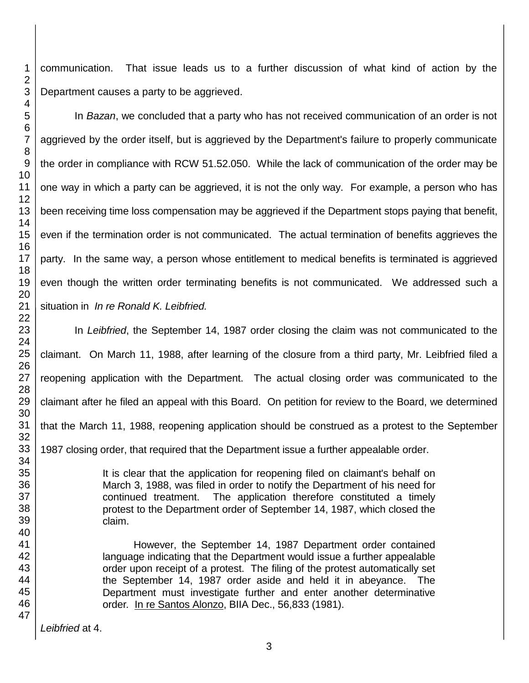communication. That issue leads us to a further discussion of what kind of action by the Department causes a party to be aggrieved.

In *Bazan*, we concluded that a party who has not received communication of an order is not aggrieved by the order itself, but is aggrieved by the Department's failure to properly communicate the order in compliance with RCW 51.52.050. While the lack of communication of the order may be one way in which a party can be aggrieved, it is not the only way. For example, a person who has been receiving time loss compensation may be aggrieved if the Department stops paying that benefit, even if the termination order is not communicated. The actual termination of benefits aggrieves the party. In the same way, a person whose entitlement to medical benefits is terminated is aggrieved even though the written order terminating benefits is not communicated. We addressed such a situation in *In re Ronald K. Leibfried.*

In *Leibfried*, the September 14, 1987 order closing the claim was not communicated to the claimant. On March 11, 1988, after learning of the closure from a third party, Mr. Leibfried filed a reopening application with the Department. The actual closing order was communicated to the claimant after he filed an appeal with this Board. On petition for review to the Board, we determined that the March 11, 1988, reopening application should be construed as a protest to the September 1987 closing order, that required that the Department issue a further appealable order.

> It is clear that the application for reopening filed on claimant's behalf on March 3, 1988, was filed in order to notify the Department of his need for continued treatment. The application therefore constituted a timely protest to the Department order of September 14, 1987, which closed the claim.

However, the September 14, 1987 Department order contained language indicating that the Department would issue a further appealable order upon receipt of a protest. The filing of the protest automatically set the September 14, 1987 order aside and held it in abeyance. The Department must investigate further and enter another determinative order*.* In re Santos Alonzo, BIIA Dec., 56,833 (1981).

*Leibfried* at 4.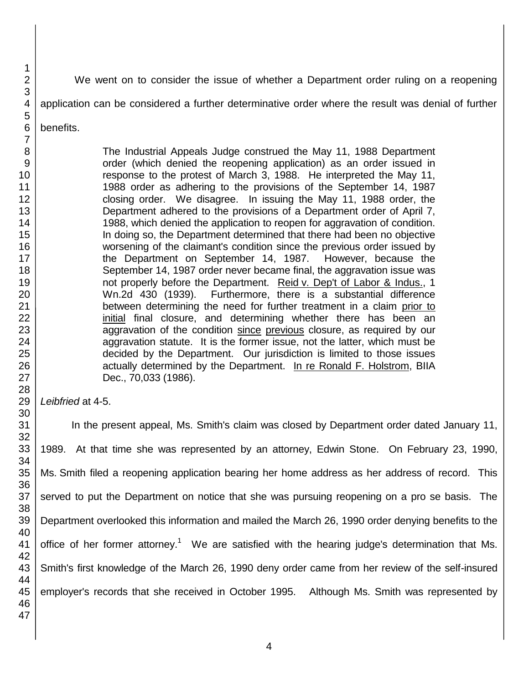We went on to consider the issue of whether a Department order ruling on a reopening

application can be considered a further determinative order where the result was denial of further

benefits.

The Industrial Appeals Judge construed the May 11, 1988 Department order (which denied the reopening application) as an order issued in response to the protest of March 3, 1988. He interpreted the May 11, 1988 order as adhering to the provisions of the September 14, 1987 closing order. We disagree. In issuing the May 11, 1988 order, the Department adhered to the provisions of a Department order of April 7, 1988, which denied the application to reopen for aggravation of condition. In doing so, the Department determined that there had been no objective worsening of the claimant's condition since the previous order issued by the Department on September 14, 1987. However, because the September 14, 1987 order never became final, the aggravation issue was not properly before the Department. Reid v. Dep't of Labor & Indus., 1 Wn.2d 430 (1939). Furthermore, there is a substantial difference between determining the need for further treatment in a claim prior to initial final closure, and determining whether there has been an aggravation of the condition since previous closure, as required by our aggravation statute. It is the former issue, not the latter, which must be decided by the Department. Our jurisdiction is limited to those issues actually determined by the Department. In re Ronald F. Holstrom, BIIA Dec., 70,033 (1986).

*Leibfried* at 4-5.

In the present appeal, Ms. Smith's claim was closed by Department order dated January 11, 1989. At that time she was represented by an attorney, Edwin Stone. On February 23, 1990, Ms. Smith filed a reopening application bearing her home address as her address of record. This served to put the Department on notice that she was pursuing reopening on a pro se basis. The Department overlooked this information and mailed the March 26, 1990 order denying benefits to the office of her former attorney.<sup>1</sup> We are satisfied with the hearing judge's determination that Ms. Smith's first knowledge of the March 26, 1990 deny order came from her review of the self-insured employer's records that she received in October 1995. Although Ms. Smith was represented by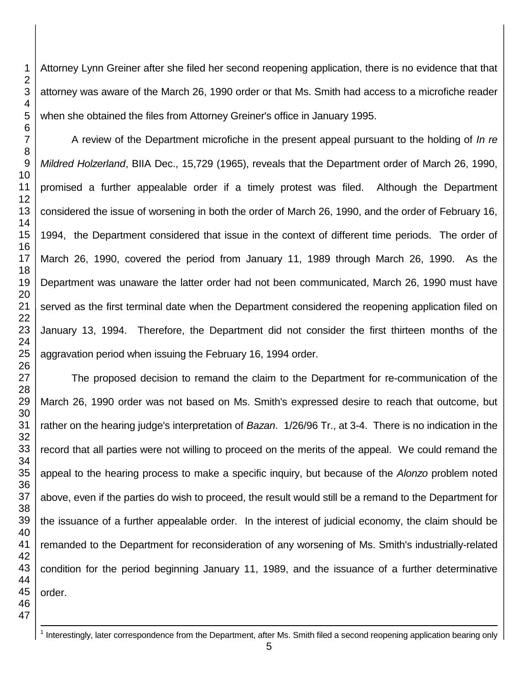Attorney Lynn Greiner after she filed her second reopening application, there is no evidence that that attorney was aware of the March 26, 1990 order or that Ms. Smith had access to a microfiche reader when she obtained the files from Attorney Greiner's office in January 1995.

A review of the Department microfiche in the present appeal pursuant to the holding of *In re Mildred Holzerland*, BIIA Dec., 15,729 (1965), reveals that the Department order of March 26, 1990, promised a further appealable order if a timely protest was filed. Although the Department considered the issue of worsening in both the order of March 26, 1990, and the order of February 16, 1994, the Department considered that issue in the context of different time periods. The order of March 26, 1990, covered the period from January 11, 1989 through March 26, 1990. As the Department was unaware the latter order had not been communicated, March 26, 1990 must have served as the first terminal date when the Department considered the reopening application filed on January 13, 1994. Therefore, the Department did not consider the first thirteen months of the aggravation period when issuing the February 16, 1994 order.

The proposed decision to remand the claim to the Department for re-communication of the March 26, 1990 order was not based on Ms. Smith's expressed desire to reach that outcome, but rather on the hearing judge's interpretation of *Bazan*. 1/26/96 Tr., at 3-4. There is no indication in the record that all parties were not willing to proceed on the merits of the appeal. We could remand the appeal to the hearing process to make a specific inquiry, but because of the *Alonzo* problem noted above, even if the parties do wish to proceed, the result would still be a remand to the Department for the issuance of a further appealable order. In the interest of judicial economy, the claim should be remanded to the Department for reconsideration of any worsening of Ms. Smith's industrially-related condition for the period beginning January 11, 1989, and the issuance of a further determinative order.

- <sup>1</sup> Interestingly, later correspondence from the Department, after Ms. Smith filed a second reopening application bearing only
	-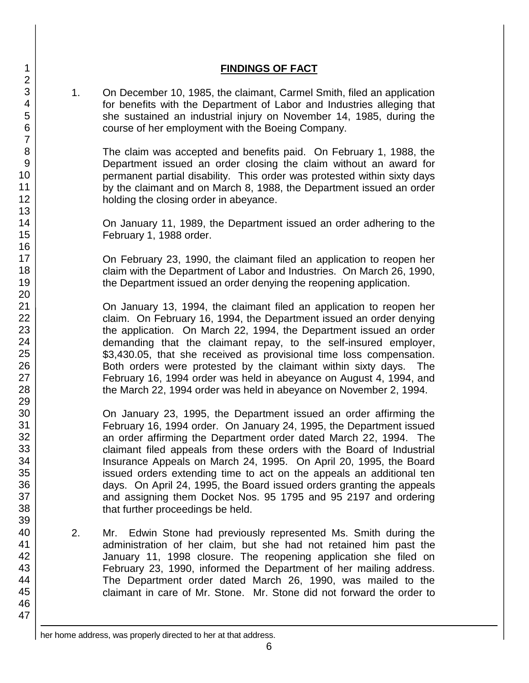### **FINDINGS OF FACT**

1. On December 10, 1985, the claimant, Carmel Smith, filed an application for benefits with the Department of Labor and Industries alleging that she sustained an industrial injury on November 14, 1985, during the course of her employment with the Boeing Company.

The claim was accepted and benefits paid. On February 1, 1988, the Department issued an order closing the claim without an award for permanent partial disability. This order was protested within sixty days by the claimant and on March 8, 1988, the Department issued an order holding the closing order in abeyance.

On January 11, 1989, the Department issued an order adhering to the February 1, 1988 order.

On February 23, 1990, the claimant filed an application to reopen her claim with the Department of Labor and Industries. On March 26, 1990, the Department issued an order denying the reopening application.

On January 13, 1994, the claimant filed an application to reopen her claim. On February 16, 1994, the Department issued an order denying the application. On March 22, 1994, the Department issued an order demanding that the claimant repay, to the self-insured employer, \$3,430.05, that she received as provisional time loss compensation. Both orders were protested by the claimant within sixty days. The February 16, 1994 order was held in abeyance on August 4, 1994, and the March 22, 1994 order was held in abeyance on November 2, 1994.

On January 23, 1995, the Department issued an order affirming the February 16, 1994 order. On January 24, 1995, the Department issued an order affirming the Department order dated March 22, 1994. The claimant filed appeals from these orders with the Board of Industrial Insurance Appeals on March 24, 1995. On April 20, 1995, the Board issued orders extending time to act on the appeals an additional ten days. On April 24, 1995, the Board issued orders granting the appeals and assigning them Docket Nos. 95 1795 and 95 2197 and ordering that further proceedings be held.

2. Mr. Edwin Stone had previously represented Ms. Smith during the administration of her claim, but she had not retained him past the January 11, 1998 closure. The reopening application she filed on February 23, 1990, informed the Department of her mailing address. The Department order dated March 26, 1990, was mailed to the claimant in care of Mr. Stone. Mr. Stone did not forward the order to

 $\overline{a}$ her home address, was properly directed to her at that address.

1 2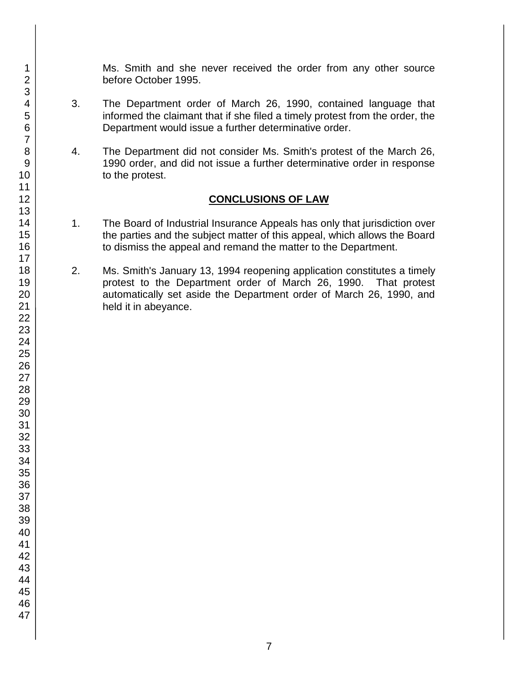Ms. Smith and she never received the order from any other source before October 1995.

- 3. The Department order of March 26, 1990, contained language that informed the claimant that if she filed a timely protest from the order, the Department would issue a further determinative order.
- 4. The Department did not consider Ms. Smith's protest of the March 26, 1990 order, and did not issue a further determinative order in response to the protest.

### **CONCLUSIONS OF LAW**

- 1. The Board of Industrial Insurance Appeals has only that jurisdiction over the parties and the subject matter of this appeal, which allows the Board to dismiss the appeal and remand the matter to the Department.
- 2. Ms. Smith's January 13, 1994 reopening application constitutes a timely protest to the Department order of March 26, 1990. That protest automatically set aside the Department order of March 26, 1990, and held it in abeyance.